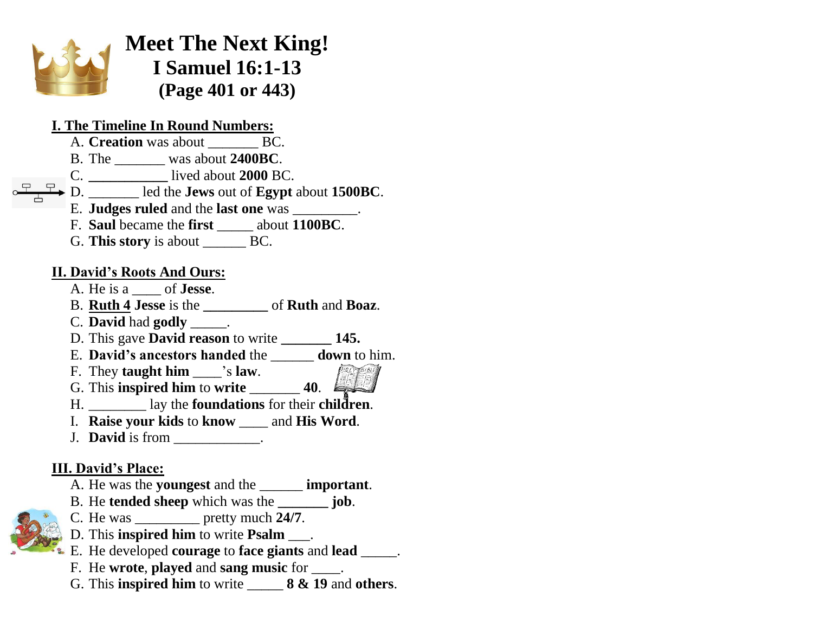

**Meet The Next King! I Samuel 16:1-13 (Page 401 or 443)**

#### **I. The Timeline In Round Numbers:**

- A. **Creation** was about **BC.**
- B. The \_\_\_\_\_\_\_ was about **2400BC**.
- C. **\_\_\_\_\_\_\_\_\_\_\_** lived about **2000** BC.
- D. \_\_\_\_\_\_\_ led the **Jews** out of **Egypt** about **1500BC**.
	- E. **Judges ruled** and the **last one** was \_\_\_\_\_\_\_\_\_.
- F. **Saul** became the **first** \_\_\_\_\_ about **1100BC**.
- G. **This story** is about BC.

### **II. David's Roots And Ours:**

- A. He is a \_\_\_\_ of **Jesse**.
- B. **Ruth 4 Jesse** is the **\_\_\_\_\_\_\_\_\_** of **Ruth** and **Boaz**.
- C. **David** had **godly** \_\_\_\_\_.
- D. This gave **David reason** to write **\_\_\_\_\_\_\_ 145.**
- E. **David's ancestors handed** the \_\_\_\_\_\_ **down** to him.
- F. They **taught him** \_\_\_\_'s **law**.
- G. This **inspired him** to **write** \_\_\_\_\_\_\_ **40**.
- H. \_\_\_\_\_\_\_\_ lay the **foundations** for their **children**.
- I. **Raise your kids** to **know** \_\_\_\_ and **His Word**.
- **J. David** is from  $\blacksquare$

# **III. David's Place:**

- A. He was the **youngest** and the \_\_\_\_\_\_ **important**.
- B. He **tended sheep** which was the **\_\_\_\_\_\_\_ job**.
- C. He was \_\_\_\_\_\_\_\_\_ pretty much **24/7**.
- D. This **inspired him** to write **Psalm** \_\_\_.
- E. He developed **courage** to **face giants** and **lead** \_\_\_\_\_.
- F. He **wrote**, **played** and **sang music** for \_\_\_\_.
- G. This **inspired him** to write \_\_\_\_\_ **8 & 19** and **others**.